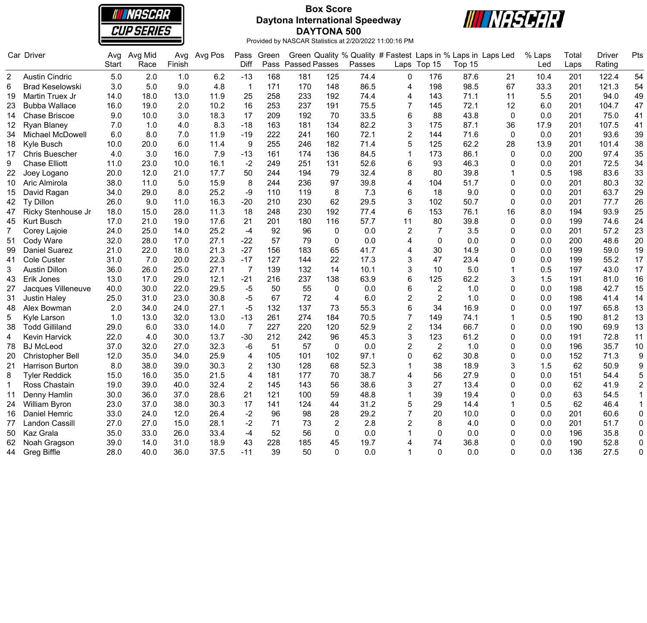

### **Box Score Daytona International Speedway DAYTONA 500**



|                | Car Driver              | Avg          | Avg Mid | Avg    | Avg Pos | Pass           | Green |                      |                |        | Green Quality % Quality # Fastest Laps in % Laps in Laps Led |                |        |              | % Laps | Total | <b>Driver</b> | Pts              |
|----------------|-------------------------|--------------|---------|--------|---------|----------------|-------|----------------------|----------------|--------|--------------------------------------------------------------|----------------|--------|--------------|--------|-------|---------------|------------------|
|                |                         | <b>Start</b> | Race    | Finish |         | Diff           | Pass  | <b>Passed Passes</b> |                | Passes |                                                              | Laps Top 15    | Top 15 |              | Led    | Laps  | Rating        |                  |
| 2              | <b>Austin Cindric</b>   | 5.0          | 2.0     | 1.0    | 6.2     | $-13$          | 168   | 181                  | 125            | 74.4   | 0                                                            | 176            | 87.6   | 21           | 10.4   | 201   | 122.4         | 54               |
| 6              | <b>Brad Keselowski</b>  | 3.0          | 5.0     | 9.0    | 4.8     | $\mathbf{1}$   | 171   | 170                  | 148            | 86.5   | 4                                                            | 198            | 98.5   | 67           | 33.3   | 201   | 121.3         | 54               |
| 19             | Martin Truex Jr         | 14.0         | 18.0    | 13.0   | 11.9    | 25             | 258   | 233                  | 192            | 74.4   | $\overline{4}$                                               | 143            | 71.1   | 11           | 5.5    | 201   | 94.0          | 49               |
| 23             | <b>Bubba Wallace</b>    | 16.0         | 19.0    | 2.0    | 10.2    | 16             | 253   | 237                  | 191            | 75.5   | 7                                                            | 145            | 72.1   | 12           | 6.0    | 201   | 104.7         | 47               |
| 14             | <b>Chase Briscoe</b>    | 9.0          | 10.0    | 3.0    | 18.3    | 17             | 209   | 192                  | 70             | 33.5   | $6\phantom{1}$                                               | 88             | 43.8   | $\mathbf 0$  | 0.0    | 201   | 75.0          | 41               |
| 12             | <b>Ryan Blaney</b>      | 7.0          | 1.0     | 4.0    | 8.3     | $-18$          | 163   | 181                  | 134            | 82.2   | 3                                                            | 175            | 87.1   | 36           | 17.9   | 201   | 107.5         | 41               |
| 34             | <b>Michael McDowell</b> | 6.0          | 8.0     | 7.0    | 11.9    | $-19$          | 222   | 241                  | 160            | 72.1   | $\overline{2}$                                               | 144            | 71.6   | $\mathbf{0}$ | 0.0    | 201   | 93.6          | 39               |
| 18             | Kyle Busch              | 10.0         | 20.0    | 6.0    | 11.4    | 9              | 255   | 246                  | 182            | 71.4   | 5                                                            | 125            | 62.2   | 28           | 13.9   | 201   | 101.4         | 38               |
| 17             | <b>Chris Buescher</b>   | 4.0          | 3.0     | 16.0   | 7.9     | $-13$          | 161   | 174                  | 136            | 84.5   | $\mathbf{1}$                                                 | 173            | 86.1   | $\mathbf{0}$ | 0.0    | 200   | 97.4          | 35               |
| 9              | <b>Chase Elliott</b>    | 11.0         | 23.0    | 10.0   | 16.1    | $-2$           | 249   | 251                  | 131            | 52.6   | 6                                                            | 93             | 46.3   | $\Omega$     | 0.0    | 201   | 72.5          | 34               |
| 22             | Joey Logano             | 20.0         | 12.0    | 21.0   | 17.7    | 50             | 244   | 194                  | 79             | 32.4   | 8                                                            | 80             | 39.8   | -1           | 0.5    | 198   | 83.6          | 33               |
| 10             | Aric Almirola           | 38.0         | 11.0    | 5.0    | 15.9    | 8              | 244   | 236                  | 97             | 39.8   | 4                                                            | 104            | 51.7   | 0            | 0.0    | 201   | 80.3          | 32               |
| 15             | David Ragan             | 34.0         | 29.0    | 8.0    | 25.2    | -9             | 110   | 119                  | 8              | 7.3    | 6                                                            | 18             | 9.0    | 0            | 0.0    | 201   | 63.7          | 29               |
| 42             | Ty Dillon               | 26.0         | 9.0     | 11.0   | 16.3    | $-20$          | 210   | 230                  | 62             | 29.5   | 3                                                            | 102            | 50.7   | $\mathbf 0$  | 0.0    | 201   | 77.7          | 26               |
| 47             | Ricky Stenhouse Jr      | 18.0         | 15.0    | 28.0   | 11.3    | 18             | 248   | 230                  | 192            | 77.4   | $6\phantom{1}$                                               | 153            | 76.1   | 16           | 8.0    | 194   | 93.9          | 25               |
| 45             | Kurt Busch              | 17.0         | 21.0    | 19.0   | 17.6    | 21             | 201   | 180                  | 116            | 57.7   | 11                                                           | 80             | 39.8   | $\Omega$     | 0.0    | 199   | 74.6          | 24               |
| $\overline{7}$ | Corey Lajoie            | 24.0         | 25.0    | 14.0   | 25.2    | $-4$           | 92    | 96                   | 0              | 0.0    | $\overline{2}$                                               | $\overline{7}$ | 3.5    | $\mathbf{0}$ | 0.0    | 201   | 57.2          | 23               |
| 51             | Cody Ware               | 32.0         | 28.0    | 17.0   | 27.1    | $-22$          | 57    | 79                   | $\pmb{0}$      | 0.0    | 4                                                            | $\mathbf 0$    | 0.0    | 0            | 0.0    | 200   | 48.6          | 20               |
| 99             | <b>Daniel Suarez</b>    | 21.0         | 22.0    | 18.0   | 21.3    | $-27$          | 156   | 183                  | 65             | 41.7   | $\overline{4}$                                               | 30             | 14.9   | $\Omega$     | 0.0    | 199   | 59.0          | 19               |
| 41             | Cole Custer             | 31.0         | 7.0     | 20.0   | 22.3    | $-17$          | 127   | 144                  | 22             | 17.3   | 3                                                            | 47             | 23.4   | 0            | 0.0    | 199   | 55.2          | 17               |
| 3              | <b>Austin Dillon</b>    | 36.0         | 26.0    | 25.0   | 27.1    | 7              | 139   | 132                  | 14             | 10.1   | 3                                                            | 10             | 5.0    |              | 0.5    | 197   | 43.0          | 17               |
| 43             | Erik Jones              | 13.0         | 17.0    | 29.0   | 12.1    | $-21$          | 216   | 237                  | 138            | 63.9   | 6                                                            | 125            | 62.2   | 3            | 1.5    | 191   | 81.0          | 16               |
| 27             | Jacques Villeneuve      | 40.0         | 30.0    | 22.0   | 29.5    | $-5$           | 50    | 55                   | $\pmb{0}$      | 0.0    | 6                                                            | $\sqrt{2}$     | 1.0    | $\Omega$     | 0.0    | 198   | 42.7          | 15               |
| 31             | <b>Justin Haley</b>     | 25.0         | 31.0    | 23.0   | 30.8    | $-5$           | 67    | 72                   | 4              | 6.0    | $\overline{2}$                                               | $\overline{2}$ | 1.0    | $\mathbf{0}$ | 0.0    | 198   | 41.4          | 14               |
| 48             | Alex Bowman             | 2.0          | 34.0    | 24.0   | 27.1    | $-5$           | 132   | 137                  | 73             | 55.3   | 6                                                            | 34             | 16.9   | 0            | 0.0    | 197   | 65.8          | 13               |
| 5              | Kyle Larson             | 1.0          | 13.0    | 32.0   | 13.0    | $-13$          | 261   | 274                  | 184            | 70.5   | 7                                                            | 149            | 74.1   | 1            | 0.5    | 190   | 81.2          | 13               |
| 38             | <b>Todd Gilliland</b>   | 29.0         | 6.0     | 33.0   | 14.0    | $\overline{7}$ | 227   | 220                  | 120            | 52.9   | $\overline{2}$                                               | 134            | 66.7   | 0            | 0.0    | 190   | 69.9          | 13               |
| 4              | Kevin Harvick           | 22.0         | 4.0     | 30.0   | 13.7    | $-30$          | 212   | 242                  | 96             | 45.3   | 3                                                            | 123            | 61.2   | 0            | 0.0    | 191   | 72.8          | 11               |
| 78             | <b>BJ</b> McLeod        | 37.0         | 32.0    | 27.0   | 32.3    | -6             | 51    | 57                   | $\mathbf 0$    | 0.0    | $\overline{2}$                                               | $\overline{2}$ | 1.0    | 0            | 0.0    | 196   | 35.7          | 10               |
| 20             | Christopher Bell        | 12.0         | 35.0    | 34.0   | 25.9    | 4              | 105   | 101                  | 102            | 97.1   | $\mathbf{0}$                                                 | 62             | 30.8   | $\mathbf{0}$ | 0.0    | 152   | 71.3          | 9                |
| 21             | Harrison Burton         | 8.0          | 38.0    | 39.0   | 30.3    | $\overline{2}$ | 130   | 128                  | 68             | 52.3   | 1                                                            | 38             | 18.9   | 3            | 1.5    | 62    | 50.9          | $\boldsymbol{9}$ |
| 8              | <b>Tyler Reddick</b>    | 15.0         | 16.0    | 35.0   | 21.5    | 4              | 181   | 177                  | 70             | 38.7   | 4                                                            | 56             | 27.9   | $\mathbf{0}$ | 0.0    | 151   | 54.4          | 5                |
| $\mathbf{1}$   | Ross Chastain           | 19.0         | 39.0    | 40.0   | 32.4    | $\overline{2}$ | 145   | 143                  | 56             | 38.6   | 3                                                            | 27             | 13.4   | $\Omega$     | 0.0    | 62    | 41.9          | $\overline{c}$   |
| 11             | Denny Hamlin            | 30.0         | 36.0    | 37.0   | 28.6    | 21             | 121   | 100                  | 59             | 48.8   | $\mathbf 1$                                                  | 39             | 19.4   | $\Omega$     | 0.0    | 63    | 54.5          |                  |
| 24             | <b>William Byron</b>    | 23.0         | 37.0    | 38.0   | 30.3    | 17             | 141   | 124                  | 44             | 31.2   | 5                                                            | 29             | 14.4   | 1            | 0.5    | 62    | 46.4          | $\mathbf{1}$     |
| 16             | Daniel Hemric           | 33.0         | 24.0    | 12.0   | 26.4    | $-2$           | 96    | 98                   | 28             | 29.2   | $\overline{7}$                                               | 20             | 10.0   | $\mathbf{0}$ | 0.0    | 201   | 60.6          | $\pmb{0}$        |
| 77             | Landon Cassill          | 27.0         | 27.0    | 15.0   | 28.1    | $-2$           | 71    | 73                   | $\overline{2}$ | 2.8    | $\overline{2}$                                               | 8              | 4.0    | 0            | 0.0    | 201   | 51.7          | $\pmb{0}$        |
| 50             | Kaz Grala               | 35.0         | 33.0    | 26.0   | 33.4    | $-4$           | 52    | 56                   | $\mathbf 0$    | 0.0    |                                                              | 0              | 0.0    | 0            | 0.0    | 196   | 35.8          | $\pmb{0}$        |
| 62             | Noah Gragson            | 39.0         | 14.0    | 31.0   | 18.9    | 43             | 228   | 185                  | 45             | 19.7   | 4                                                            | 74             | 36.8   | $\Omega$     | 0.0    | 190   | 52.8          | $\mathbf 0$      |
| 44             | <b>Greg Biffle</b>      | 28.0         | 40.0    | 36.0   | 37.5    | $-11$          | 39    | 50                   | $\Omega$       | 0.0    |                                                              | $\Omega$       | 0.0    | $\Omega$     | 0.0    | 136   | 27.5          | $\Omega$         |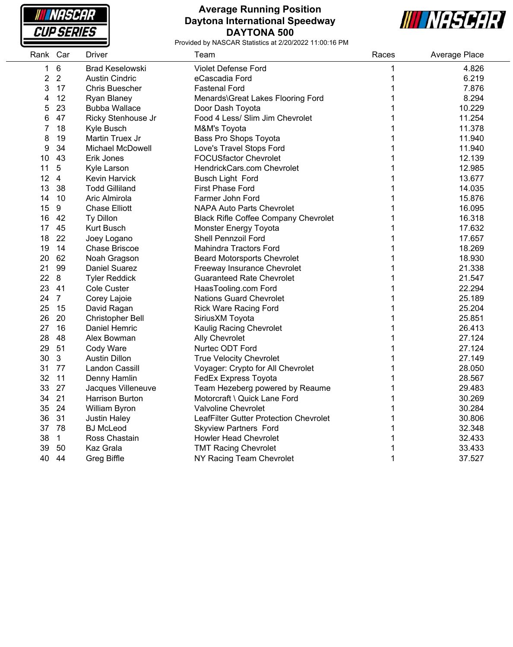

### **Average Running Position Daytona International Speedway DAYTONA 500**



| Rank Car       |                 | Driver                  | Team                                        | Races | Average Place |
|----------------|-----------------|-------------------------|---------------------------------------------|-------|---------------|
| 1              | $6\phantom{1}6$ | <b>Brad Keselowski</b>  | Violet Defense Ford                         | 1     | 4.826         |
| $\overline{2}$ | 2               | <b>Austin Cindric</b>   | eCascadia Ford                              | 1     | 6.219         |
| 3              | 17              | <b>Chris Buescher</b>   | <b>Fastenal Ford</b>                        | 1     | 7.876         |
| 4              | 12              | Ryan Blaney             | Menards\Great Lakes Flooring Ford           | 1     | 8.294         |
| 5              | 23              | <b>Bubba Wallace</b>    | Door Dash Toyota                            | 1     | 10.229        |
| 6              | 47              | Ricky Stenhouse Jr      | Food 4 Less/ Slim Jim Chevrolet             | 1     | 11.254        |
| 7              | 18              | Kyle Busch              | M&M's Toyota                                | 1     | 11.378        |
| 8              | 19              | Martin Truex Jr         | Bass Pro Shops Toyota                       | 1     | 11.940        |
| 9              | 34              | <b>Michael McDowell</b> | Love's Travel Stops Ford                    | 1     | 11.940        |
| 10             | 43              | Erik Jones              | <b>FOCUSfactor Chevrolet</b>                | 1     | 12.139        |
| 11             | $\sqrt{5}$      | Kyle Larson             | HendrickCars.com Chevrolet                  | 1     | 12.985        |
| 12             | $\overline{4}$  | Kevin Harvick           | Busch Light Ford                            | 1     | 13.677        |
| 13             | 38              | <b>Todd Gilliland</b>   | First Phase Ford                            | 1     | 14.035        |
| 14             | 10              | Aric Almirola           | Farmer John Ford                            | 1     | 15.876        |
| 15             | 9               | <b>Chase Elliott</b>    | <b>NAPA Auto Parts Chevrolet</b>            | 1     | 16.095        |
| 16             | 42              | Ty Dillon               | <b>Black Rifle Coffee Company Chevrolet</b> | 1     | 16.318        |
| 17             | 45              | Kurt Busch              | Monster Energy Toyota                       | 1     | 17.632        |
| 18             | 22              | Joey Logano             | Shell Pennzoil Ford                         |       | 17.657        |
| 19             | 14              | <b>Chase Briscoe</b>    | <b>Mahindra Tractors Ford</b>               | 1     | 18.269        |
| 20             | 62              | Noah Gragson            | <b>Beard Motorsports Chevrolet</b>          | 1     | 18.930        |
| 21             | 99              | <b>Daniel Suarez</b>    | Freeway Insurance Chevrolet                 | 1     | 21.338        |
| 22             | 8               | <b>Tyler Reddick</b>    | <b>Guaranteed Rate Chevrolet</b>            | 1     | 21.547        |
| 23             | 41              | Cole Custer             | HaasTooling.com Ford                        | 1     | 22.294        |
| 24             | $\overline{7}$  | Corey Lajoie            | <b>Nations Guard Chevrolet</b>              | 1     | 25.189        |
| 25             | 15              | David Ragan             | <b>Rick Ware Racing Ford</b>                | 1     | 25.204        |
| 26             | 20              | Christopher Bell        | SiriusXM Toyota                             | 1     | 25.851        |
| 27             | 16              | Daniel Hemric           | Kaulig Racing Chevrolet                     | 1     | 26.413        |
| 28             | 48              | Alex Bowman             | Ally Chevrolet                              | 1     | 27.124        |
| 29             | 51              | Cody Ware               | Nurtec ODT Ford                             | 1     | 27.124        |
| 30             | $\mathbf{3}$    | <b>Austin Dillon</b>    | <b>True Velocity Chevrolet</b>              | 1     | 27.149        |
| 31             | 77              | Landon Cassill          | Voyager: Crypto for All Chevrolet           | 1     | 28.050        |
| 32             | 11              | Denny Hamlin            | FedEx Express Toyota                        | 1     | 28.567        |
| 33             | 27              | Jacques Villeneuve      | Team Hezeberg powered by Reaume             | 1     | 29.483        |
| 34             | 21              | Harrison Burton         | Motorcraft \ Quick Lane Ford                |       | 30.269        |
| 35             | 24              | William Byron           | Valvoline Chevrolet                         | 1     | 30.284        |
| 36             | 31              | <b>Justin Haley</b>     | LeafFilter Gutter Protection Chevrolet      | 1     | 30.806        |
| 37 78          |                 | <b>BJ</b> McLeod        | <b>Skyview Partners Ford</b>                | 1     | 32.348        |
| 38             | $\overline{1}$  | Ross Chastain           | <b>Howler Head Chevrolet</b>                | 1     | 32.433        |
| 39             | 50              | Kaz Grala               | <b>TMT Racing Chevrolet</b>                 | 1     | 33.433        |
| 40             | 44              | <b>Greg Biffle</b>      | NY Racing Team Chevrolet                    | 1     | 37.527        |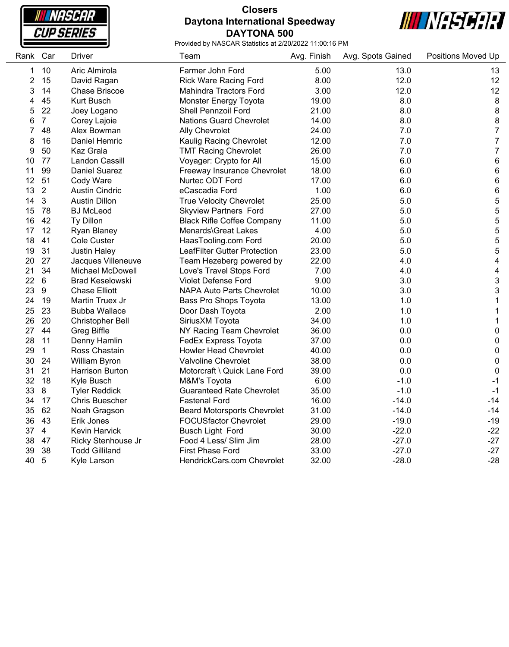

# **Closers Daytona International Speedway DAYTONA 500**



| Rank           | Car            | <b>Driver</b>           | Team                               | Avg. Finish | Avg. Spots Gained | <b>Positions Moved Up</b> |
|----------------|----------------|-------------------------|------------------------------------|-------------|-------------------|---------------------------|
| 1              | 10             | Aric Almirola           | Farmer John Ford                   | 5.00        | 13.0              | 13                        |
| $\overline{2}$ | 15             | David Ragan             | <b>Rick Ware Racing Ford</b>       | 8.00        | 12.0              | 12                        |
| 3              | 14             | <b>Chase Briscoe</b>    | Mahindra Tractors Ford             | 3.00        | 12.0              | 12                        |
| 4              | 45             | <b>Kurt Busch</b>       | Monster Energy Toyota              | 19.00       | 8.0               | $\,8\,$                   |
| 5              | 22             | Joey Logano             | Shell Pennzoil Ford                | 21.00       | 8.0               | 8                         |
| 6              | $\overline{7}$ | Corey Lajoie            | <b>Nations Guard Chevrolet</b>     | 14.00       | 8.0               | 8                         |
| 7              | 48             | Alex Bowman             | <b>Ally Chevrolet</b>              | 24.00       | 7.0               | $\overline{7}$            |
| 8              | 16             | Daniel Hemric           | Kaulig Racing Chevrolet            | 12.00       | 7.0               | $\overline{7}$            |
| 9              | 50             | Kaz Grala               | <b>TMT Racing Chevrolet</b>        | 26.00       | 7.0               | $\overline{7}$            |
| 10             | 77             | <b>Landon Cassill</b>   | Voyager: Crypto for All            | 15.00       | 6.0               | 6                         |
| 11             | 99             | <b>Daniel Suarez</b>    | Freeway Insurance Chevrolet        | 18.00       | 6.0               | 6                         |
| 12             | 51             | Cody Ware               | Nurtec ODT Ford                    | 17.00       | 6.0               | 6                         |
| 13             | $\overline{2}$ | <b>Austin Cindric</b>   | eCascadia Ford                     | 1.00        | 6.0               | 6                         |
| 14             | 3              | <b>Austin Dillon</b>    | <b>True Velocity Chevrolet</b>     | 25.00       | $5.0$             | 5                         |
| 15             | 78             | <b>BJ</b> McLeod        | <b>Skyview Partners Ford</b>       | 27.00       | 5.0               | 5                         |
| 16             | 42             | Ty Dillon               | <b>Black Rifle Coffee Company</b>  | 11.00       | 5.0               | 5                         |
| 17             | 12             | <b>Ryan Blaney</b>      | Menards\Great Lakes                | 4.00        | 5.0               | 5                         |
| 18             | 41             | <b>Cole Custer</b>      | HaasTooling.com Ford               | 20.00       | 5.0               | 5                         |
| 19             | 31             | <b>Justin Haley</b>     | LeafFilter Gutter Protection       | 23.00       | 5.0               | 5                         |
| 20             | 27             | Jacques Villeneuve      | Team Hezeberg powered by           | 22.00       | 4.0               | 4                         |
| 21             | 34             | Michael McDowell        | Love's Travel Stops Ford           | 7.00        | 4.0               | 4                         |
| 22             | 6              | <b>Brad Keselowski</b>  | <b>Violet Defense Ford</b>         | 9.00        | 3.0               | 3                         |
| 23             | 9              | <b>Chase Elliott</b>    | <b>NAPA Auto Parts Chevrolet</b>   | 10.00       | 3.0               | 3                         |
| 24             | 19             | Martin Truex Jr         | Bass Pro Shops Toyota              | 13.00       | 1.0               | 1                         |
| 25             | 23             | <b>Bubba Wallace</b>    | Door Dash Toyota                   | 2.00        | 1.0               | 1                         |
| 26             | 20             | <b>Christopher Bell</b> | SiriusXM Toyota                    | 34.00       | 1.0               | 1                         |
| 27             | 44             | <b>Greg Biffle</b>      | NY Racing Team Chevrolet           | 36.00       | 0.0               | 0                         |
| 28             | 11             | Denny Hamlin            | FedEx Express Toyota               | 37.00       | 0.0               | $\pmb{0}$                 |
| 29             | $\mathbf{1}$   | Ross Chastain           | <b>Howler Head Chevrolet</b>       | 40.00       | 0.0               | 0                         |
| 30             | 24             | William Byron           | Valvoline Chevrolet                | 38.00       | 0.0               | 0                         |
| 31             | 21             | Harrison Burton         | Motorcraft \ Quick Lane Ford       | 39.00       | 0.0               | 0                         |
| 32             | 18             | Kyle Busch              | M&M's Toyota                       | 6.00        | $-1.0$            | $-1$                      |
| 33             | 8              | <b>Tyler Reddick</b>    | <b>Guaranteed Rate Chevrolet</b>   | 35.00       | $-1.0$            | $-1$                      |
| 34             | 17             | <b>Chris Buescher</b>   | <b>Fastenal Ford</b>               | 16.00       | $-14.0$           | $-14$                     |
| 35             | 62             | Noah Gragson            | <b>Beard Motorsports Chevrolet</b> | 31.00       | $-14.0$           | $-14$                     |
| 36             | 43             | Erik Jones              | <b>FOCUSfactor Chevrolet</b>       | 29.00       | $-19.0$           | $-19$                     |
| 37             | 4              | Kevin Harvick           | <b>Busch Light Ford</b>            | 30.00       | $-22.0$           | $-22$                     |
| 38             | 47             | Ricky Stenhouse Jr      | Food 4 Less/ Slim Jim              | 28.00       | $-27.0$           | $-27$                     |
| 39             | 38             | <b>Todd Gilliland</b>   | <b>First Phase Ford</b>            | 33.00       | $-27.0$           | $-27$                     |
| 40             | 5              | Kyle Larson             | HendrickCars.com Chevrolet         | 32.00       | $-28.0$           | $-28$                     |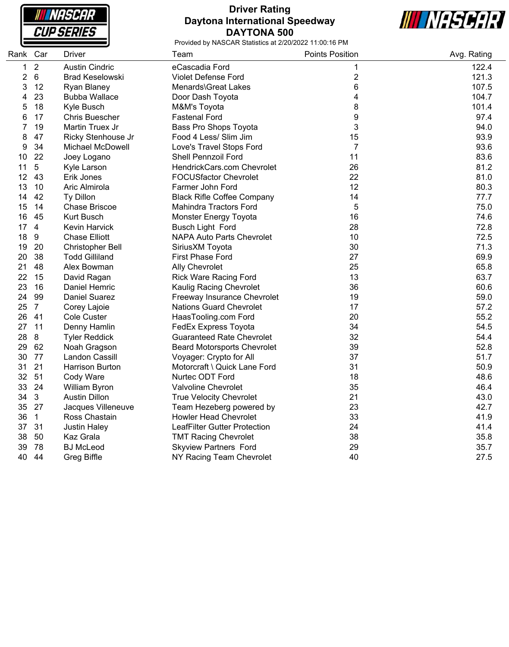**NASCAR CUP SERIES** 

# **Driver Rating Daytona International Speedway DAYTONA 500**



| Rank Car |                | Driver                  | Team                               | <b>Points Position</b>    | Avg. Rating |
|----------|----------------|-------------------------|------------------------------------|---------------------------|-------------|
| 1        | $\sqrt{2}$     | <b>Austin Cindric</b>   | eCascadia Ford                     | 1                         | 122.4       |
| 2        | $\,6\,$        | <b>Brad Keselowski</b>  | <b>Violet Defense Ford</b>         | $\overline{2}$            | 121.3       |
| 3        | 12             | Ryan Blaney             | Menards\Great Lakes                | 6                         | 107.5       |
| 4        | 23             | <b>Bubba Wallace</b>    | Door Dash Toyota                   | 4                         | 104.7       |
| 5        | 18             | Kyle Busch              | M&M's Toyota                       | 8                         | 101.4       |
| 6        | 17             | <b>Chris Buescher</b>   | <b>Fastenal Ford</b>               | 9                         | 97.4        |
| 7        | 19             | Martin Truex Jr         | Bass Pro Shops Toyota              | $\ensuremath{\mathsf{3}}$ | 94.0        |
| 8        | 47             | Ricky Stenhouse Jr      | Food 4 Less/ Slim Jim              | 15                        | 93.9        |
| 9        | 34             | <b>Michael McDowell</b> | Love's Travel Stops Ford           | $\overline{7}$            | 93.6        |
| 10       | 22             | Joey Logano             | Shell Pennzoil Ford                | 11                        | 83.6        |
| 11       | 5              | Kyle Larson             | HendrickCars.com Chevrolet         | 26                        | 81.2        |
| 12       | 43             | Erik Jones              | FOCUSfactor Chevrolet              | 22                        | 81.0        |
| 13       | 10             | Aric Almirola           | Farmer John Ford                   | 12                        | 80.3        |
| 14       | 42             | Ty Dillon               | <b>Black Rifle Coffee Company</b>  | 14                        | 77.7        |
| 15       | 14             | <b>Chase Briscoe</b>    | <b>Mahindra Tractors Ford</b>      | 5                         | 75.0        |
| 16       | 45             | Kurt Busch              | Monster Energy Toyota              | 16                        | 74.6        |
| 17       | $\overline{4}$ | Kevin Harvick           | <b>Busch Light Ford</b>            | 28                        | 72.8        |
| 18       | 9              | <b>Chase Elliott</b>    | <b>NAPA Auto Parts Chevrolet</b>   | 10                        | 72.5        |
| 19       | 20             | Christopher Bell        | SiriusXM Toyota                    | 30                        | 71.3        |
| 20       | 38             | <b>Todd Gilliland</b>   | <b>First Phase Ford</b>            | 27                        | 69.9        |
| 21       | 48             | Alex Bowman             | <b>Ally Chevrolet</b>              | 25                        | 65.8        |
| 22       | 15             | David Ragan             | <b>Rick Ware Racing Ford</b>       | 13                        | 63.7        |
| 23       | 16             | Daniel Hemric           | Kaulig Racing Chevrolet            | 36                        | 60.6        |
| 24       | 99             | <b>Daniel Suarez</b>    | Freeway Insurance Chevrolet        | 19                        | 59.0        |
| 25       | $\overline{7}$ | Corey Lajoie            | <b>Nations Guard Chevrolet</b>     | 17                        | 57.2        |
| 26       | 41             | <b>Cole Custer</b>      | HaasTooling.com Ford               | 20                        | 55.2        |
| 27       | 11             | Denny Hamlin            | FedEx Express Toyota               | 34                        | 54.5        |
| 28       | 8              | <b>Tyler Reddick</b>    | <b>Guaranteed Rate Chevrolet</b>   | 32                        | 54.4        |
| 29       | 62             | Noah Gragson            | <b>Beard Motorsports Chevrolet</b> | 39                        | 52.8        |
| 30       | 77             | Landon Cassill          | Voyager: Crypto for All            | 37                        | 51.7        |
| 31       | 21             | <b>Harrison Burton</b>  | Motorcraft \ Quick Lane Ford       | 31                        | 50.9        |
| 32       | 51             | Cody Ware               | Nurtec ODT Ford                    | 18                        | 48.6        |
| 33       | 24             | William Byron           | Valvoline Chevrolet                | 35                        | 46.4        |
| 34       | $\mathbf{3}$   | <b>Austin Dillon</b>    | <b>True Velocity Chevrolet</b>     | 21                        | 43.0        |
| 35       | 27             | Jacques Villeneuve      | Team Hezeberg powered by           | 23                        | 42.7        |
| 36       | $\mathbf{1}$   | Ross Chastain           | <b>Howler Head Chevrolet</b>       | 33                        | 41.9        |
| 37       | 31             | <b>Justin Haley</b>     | LeafFilter Gutter Protection       | 24                        | 41.4        |
| 38       | 50             | Kaz Grala               | <b>TMT Racing Chevrolet</b>        | 38                        | 35.8        |
| 39       | 78             | <b>BJ McLeod</b>        | <b>Skyview Partners Ford</b>       | 29                        | 35.7        |
| 40       | 44             | Greg Biffle             | NY Racing Team Chevrolet           | 40                        | 27.5        |
|          |                |                         |                                    |                           |             |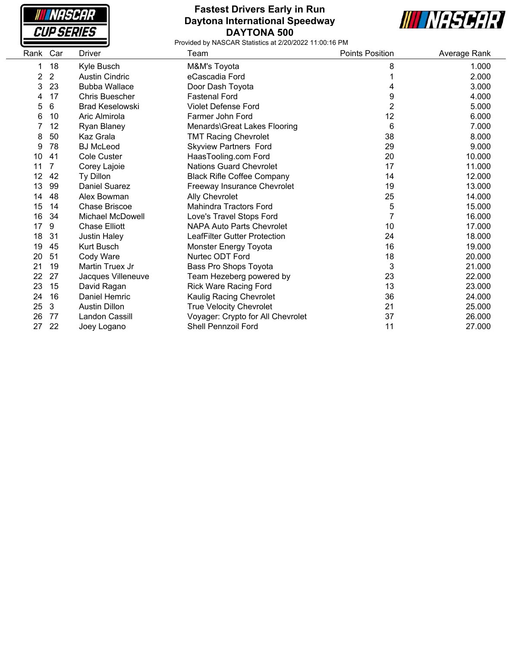

### **Fastest Drivers Early in Run Daytona International Speedway DAYTONA 500**



| Rank           | Car            | Driver                 | Team                              | <b>Points Position</b> | Average Rank |
|----------------|----------------|------------------------|-----------------------------------|------------------------|--------------|
| 1              | 18             | Kyle Busch             | M&M's Toyota                      | 8                      | 1.000        |
| $\overline{2}$ | $\overline{2}$ | <b>Austin Cindric</b>  | eCascadia Ford                    |                        | 2.000        |
| 3              | 23             | <b>Bubba Wallace</b>   | Door Dash Toyota                  | 4                      | 3.000        |
| 4              | 17             | <b>Chris Buescher</b>  | <b>Fastenal Ford</b>              | 9                      | 4.000        |
| 5              | 6              | <b>Brad Keselowski</b> | <b>Violet Defense Ford</b>        | $\overline{2}$         | 5.000        |
| 6              | 10             | Aric Almirola          | Farmer John Ford                  | 12                     | 6.000        |
|                | 12             | Ryan Blaney            | Menards\Great Lakes Flooring      | 6                      | 7.000        |
| 8              | 50             | Kaz Grala              | <b>TMT Racing Chevrolet</b>       | 38                     | 8.000        |
| 9              | 78             | <b>BJ</b> McLeod       | <b>Skyview Partners Ford</b>      | 29                     | 9.000        |
| 10             | 41             | <b>Cole Custer</b>     | HaasTooling.com Ford              | 20                     | 10.000       |
| 11             | 7              | Corey Lajoie           | <b>Nations Guard Chevrolet</b>    | 17                     | 11.000       |
| 12             | 42             | Ty Dillon              | <b>Black Rifle Coffee Company</b> | 14                     | 12.000       |
| 13             | 99             | <b>Daniel Suarez</b>   | Freeway Insurance Chevrolet       | 19                     | 13.000       |
| 14             | 48             | Alex Bowman            | Ally Chevrolet                    | 25                     | 14.000       |
| 15             | 14             | <b>Chase Briscoe</b>   | Mahindra Tractors Ford            | 5                      | 15.000       |
| 16             | 34             | Michael McDowell       | Love's Travel Stops Ford          | 7                      | 16.000       |
| 17             | 9              | <b>Chase Elliott</b>   | <b>NAPA Auto Parts Chevrolet</b>  | 10                     | 17.000       |
| 18             | -31            | <b>Justin Haley</b>    | LeafFilter Gutter Protection      | 24                     | 18.000       |
| 19             | 45             | <b>Kurt Busch</b>      | Monster Energy Toyota             | 16                     | 19.000       |
| 20             | 51             | Cody Ware              | Nurtec ODT Ford                   | 18                     | 20.000       |
| 21             | 19             | Martin Truex Jr        | Bass Pro Shops Toyota             | 3                      | 21.000       |
| 22             | 27             | Jacques Villeneuve     | Team Hezeberg powered by          | 23                     | 22.000       |
| 23             | 15             | David Ragan            | <b>Rick Ware Racing Ford</b>      | 13                     | 23.000       |
| 24             | 16             | Daniel Hemric          | Kaulig Racing Chevrolet           | 36                     | 24.000       |
| 25             | 3              | <b>Austin Dillon</b>   | <b>True Velocity Chevrolet</b>    | 21                     | 25.000       |
| 26             | 77             | Landon Cassill         | Voyager: Crypto for All Chevrolet | 37                     | 26.000       |
| 27             | 22             | Joey Logano            | <b>Shell Pennzoil Ford</b>        | 11                     | 27.000       |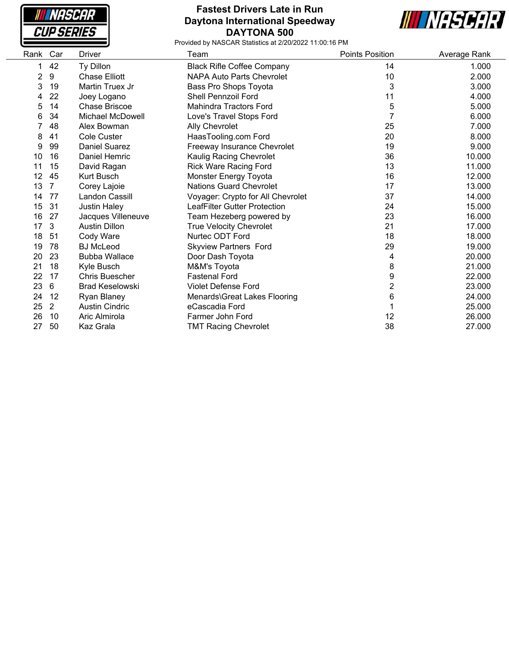| NASCAR            |
|-------------------|
| <i>CUP SERIES</i> |

### **Fastest Drivers Late in Run Daytona International Speedway DAYTONA 500**



| Rank Car |                | Driver                 | Team                              | <b>Points Position</b> | Average Rank |
|----------|----------------|------------------------|-----------------------------------|------------------------|--------------|
| 1.       | 42             | Ty Dillon              | <b>Black Rifle Coffee Company</b> | 14                     | 1.000        |
| 2        | 9              | <b>Chase Elliott</b>   | <b>NAPA Auto Parts Chevrolet</b>  | 10                     | 2.000        |
| 3        | 19             | Martin Truex Jr        | Bass Pro Shops Toyota             | 3                      | 3.000        |
| 4        | 22             | Joey Logano            | <b>Shell Pennzoil Ford</b>        | 11                     | 4.000        |
| 5        | 14             | Chase Briscoe          | <b>Mahindra Tractors Ford</b>     | 5                      | 5.000        |
| 6        | 34             | Michael McDowell       | Love's Travel Stops Ford          |                        | 6.000        |
|          | 48             | Alex Bowman            | Ally Chevrolet                    | 25                     | 7.000        |
| 8        | 41             | <b>Cole Custer</b>     | HaasTooling.com Ford              | 20                     | 8.000        |
| 9        | 99             | <b>Daniel Suarez</b>   | Freeway Insurance Chevrolet       | 19                     | 9.000        |
| 10       | 16             | <b>Daniel Hemric</b>   | Kaulig Racing Chevrolet           | 36                     | 10.000       |
| 11       | 15             | David Ragan            | <b>Rick Ware Racing Ford</b>      | 13                     | 11.000       |
| 12       | 45             | Kurt Busch             | Monster Energy Toyota             | 16                     | 12.000       |
| 13       | 7              | Corey Lajoie           | <b>Nations Guard Chevrolet</b>    | 17                     | 13.000       |
| 14       | 77             | Landon Cassill         | Voyager: Crypto for All Chevrolet | 37                     | 14.000       |
| 15       | 31             | <b>Justin Haley</b>    | LeafFilter Gutter Protection      | 24                     | 15.000       |
| 16       | 27             | Jacques Villeneuve     | Team Hezeberg powered by          | 23                     | 16.000       |
| 17       | 3              | <b>Austin Dillon</b>   | <b>True Velocity Chevrolet</b>    | 21                     | 17.000       |
| 18       | 51             | Cody Ware              | Nurtec ODT Ford                   | 18                     | 18.000       |
| 19       | 78             | <b>BJ</b> McLeod       | <b>Skyview Partners Ford</b>      | 29                     | 19.000       |
| 20       | 23             | <b>Bubba Wallace</b>   | Door Dash Toyota                  | 4                      | 20.000       |
| 21       | 18             | Kyle Busch             | M&M's Toyota                      | 8                      | 21.000       |
| 22       | 17             | <b>Chris Buescher</b>  | <b>Fastenal Ford</b>              | 9                      | 22.000       |
| 23       | 6              | <b>Brad Keselowski</b> | <b>Violet Defense Ford</b>        | $\overline{2}$         | 23.000       |
| 24       | 12             | Ryan Blaney            | Menards\Great Lakes Flooring      | 6                      | 24.000       |
| 25       | $\overline{2}$ | <b>Austin Cindric</b>  | eCascadia Ford                    |                        | 25.000       |
| 26       | 10             | Aric Almirola          | Farmer John Ford                  | 12                     | 26.000       |
| 27       | 50             | Kaz Grala              | <b>TMT Racing Chevrolet</b>       | 38                     | 27.000       |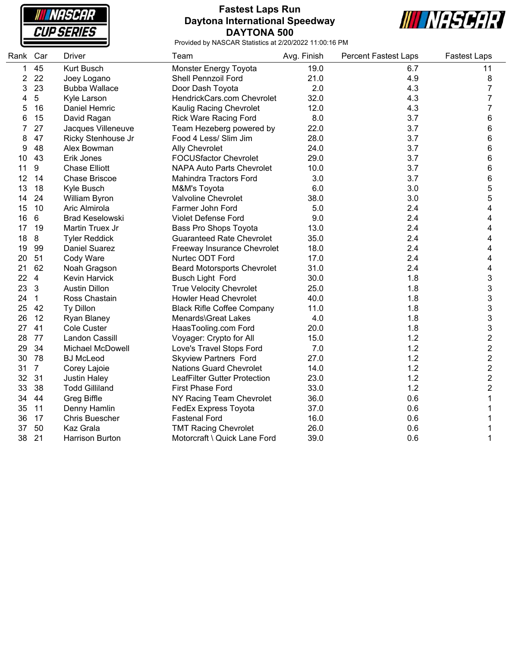**NASCAR CUP SERIES** 

# **Fastest Laps Run Daytona International Speedway DAYTONA 500**



| Rank | Car             | <b>Driver</b>          | Team                                | Avg. Finish | <b>Percent Fastest Laps</b> | <b>Fastest Laps</b>     |
|------|-----------------|------------------------|-------------------------------------|-------------|-----------------------------|-------------------------|
| 1    | 45              | Kurt Busch             | Monster Energy Toyota               | 19.0        | 6.7                         | 11                      |
| 2    | 22              | Joey Logano            | Shell Pennzoil Ford                 | 21.0        | 4.9                         | 8                       |
| 3    | 23              | <b>Bubba Wallace</b>   | Door Dash Toyota                    | 2.0         | 4.3                         | $\overline{7}$          |
| 4    | $5\phantom{.0}$ | Kyle Larson            | HendrickCars.com Chevrolet          | 32.0        | 4.3                         | 7                       |
| 5    | 16              | Daniel Hemric          | Kaulig Racing Chevrolet             | 12.0        | 4.3                         | 7                       |
| 6    | 15              | David Ragan            | <b>Rick Ware Racing Ford</b>        | 8.0         | 3.7                         | 6                       |
| 7    | 27              | Jacques Villeneuve     | Team Hezeberg powered by            | 22.0        | 3.7                         | 6                       |
| 8    | 47              | Ricky Stenhouse Jr     | Food 4 Less/ Slim Jim               | 28.0        | 3.7                         | 6                       |
| 9    | 48              | Alex Bowman            | <b>Ally Chevrolet</b>               | 24.0        | 3.7                         | 6                       |
| 10   | 43              | Erik Jones             | <b>FOCUSfactor Chevrolet</b>        | 29.0        | 3.7                         | 6                       |
| 11   | 9               | <b>Chase Elliott</b>   | <b>NAPA Auto Parts Chevrolet</b>    | 10.0        | 3.7                         | 6                       |
| 12   | 14              | <b>Chase Briscoe</b>   | <b>Mahindra Tractors Ford</b>       | 3.0         | 3.7                         | 6                       |
| 13   | 18              | Kyle Busch             | M&M's Toyota                        | 6.0         | 3.0                         | 5                       |
| 14   | 24              | William Byron          | Valvoline Chevrolet                 | 38.0        | 3.0                         | 5                       |
| 15   | 10              | Aric Almirola          | Farmer John Ford                    | 5.0         | 2.4                         | 4                       |
| 16   | 6               | <b>Brad Keselowski</b> | <b>Violet Defense Ford</b>          | 9.0         | 2.4                         | 4                       |
| 17   | 19              | Martin Truex Jr        | <b>Bass Pro Shops Toyota</b>        | 13.0        | 2.4                         | 4                       |
| 18   | 8               | <b>Tyler Reddick</b>   | <b>Guaranteed Rate Chevrolet</b>    | 35.0        | 2.4                         | 4                       |
| 19   | 99              | <b>Daniel Suarez</b>   | Freeway Insurance Chevrolet         | 18.0        | 2.4                         | 4                       |
| 20   | 51              | Cody Ware              | Nurtec ODT Ford                     | 17.0        | 2.4                         | 4                       |
| 21   | 62              | Noah Gragson           | <b>Beard Motorsports Chevrolet</b>  | 31.0        | 2.4                         | 4                       |
| 22   | $\overline{4}$  | Kevin Harvick          | <b>Busch Light Ford</b>             | 30.0        | 1.8                         | 3                       |
| 23   | 3               | <b>Austin Dillon</b>   | <b>True Velocity Chevrolet</b>      | 25.0        | 1.8                         | 3                       |
| 24   | $\overline{1}$  | Ross Chastain          | <b>Howler Head Chevrolet</b>        | 40.0        | 1.8                         | 3                       |
| 25   | 42              | Ty Dillon              | <b>Black Rifle Coffee Company</b>   | 11.0        | 1.8                         | 3                       |
| 26   | 12              | <b>Ryan Blaney</b>     | Menards\Great Lakes                 | 4.0         | 1.8                         | 3                       |
| 27   | 41              | <b>Cole Custer</b>     | HaasTooling.com Ford                | 20.0        | 1.8                         | 3                       |
| 28   | 77              | Landon Cassill         | Voyager: Crypto for All             | 15.0        | 1.2                         | $\overline{\mathbf{c}}$ |
| 29   | 34              | Michael McDowell       | Love's Travel Stops Ford            | 7.0         | 1.2                         | $\overline{\mathbf{c}}$ |
| 30   | 78              | <b>BJ</b> McLeod       | <b>Skyview Partners Ford</b>        | 27.0        | 1.2                         | $\overline{\mathbf{c}}$ |
| 31   | $\overline{7}$  | Corey Lajoie           | <b>Nations Guard Chevrolet</b>      | 14.0        | 1.2                         | $\overline{2}$          |
| 32   | 31              | <b>Justin Haley</b>    | <b>LeafFilter Gutter Protection</b> | 23.0        | 1.2                         | $\overline{c}$          |
| 33   | 38              | <b>Todd Gilliland</b>  | <b>First Phase Ford</b>             | 33.0        | 1.2                         | $\overline{c}$          |
| 34   | 44              | Greg Biffle            | NY Racing Team Chevrolet            | 36.0        | 0.6                         | 1                       |
| 35   | 11              | Denny Hamlin           | FedEx Express Toyota                | 37.0        | 0.6                         |                         |
| 36   | 17              | <b>Chris Buescher</b>  | <b>Fastenal Ford</b>                | 16.0        | 0.6                         |                         |
| 37   | 50              | Kaz Grala              | <b>TMT Racing Chevrolet</b>         | 26.0        | 0.6                         |                         |
| 38   | 21              | <b>Harrison Burton</b> | Motorcraft \ Quick Lane Ford        | 39.0        | 0.6                         | 1                       |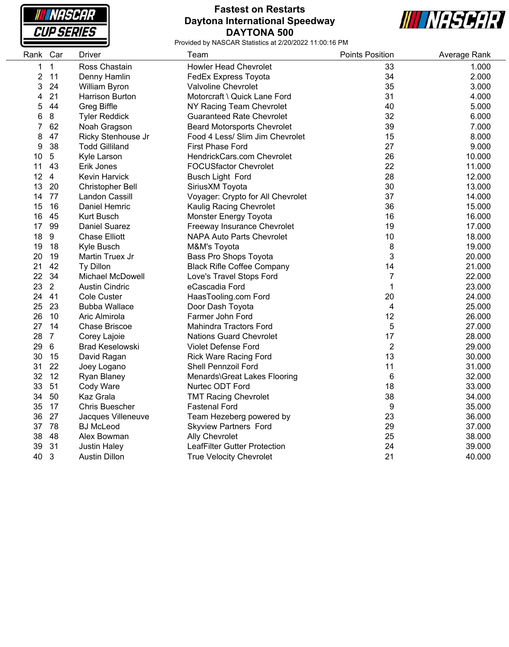

# **Fastest on Restarts Daytona International Speedway DAYTONA 500**



| Rank Car       |                 | Driver                  | Team                               | <b>Points Position</b> | Average Rank |
|----------------|-----------------|-------------------------|------------------------------------|------------------------|--------------|
| 1              | $\mathbf{1}$    | Ross Chastain           | <b>Howler Head Chevrolet</b>       | 33                     | 1.000        |
| $\overline{c}$ | 11              | Denny Hamlin            | FedEx Express Toyota               | 34                     | 2.000        |
| 3              | 24              | William Byron           | Valvoline Chevrolet                | 35                     | 3.000        |
| 4              | 21              | Harrison Burton         | Motorcraft \ Quick Lane Ford       | 31                     | 4.000        |
| 5              | 44              | <b>Greg Biffle</b>      | NY Racing Team Chevrolet           | 40                     | 5.000        |
| 6              | 8               | <b>Tyler Reddick</b>    | <b>Guaranteed Rate Chevrolet</b>   | 32                     | 6.000        |
| 7              | 62              | Noah Gragson            | <b>Beard Motorsports Chevrolet</b> | 39                     | 7.000        |
| 8              | 47              | Ricky Stenhouse Jr      | Food 4 Less/ Slim Jim Chevrolet    | 15                     | 8.000        |
| 9              | 38              | <b>Todd Gilliland</b>   | <b>First Phase Ford</b>            | 27                     | 9.000        |
| 10             | $5\,$           | Kyle Larson             | HendrickCars.com Chevrolet         | 26                     | 10.000       |
| 11             | 43              | Erik Jones              | <b>FOCUSfactor Chevrolet</b>       | 22                     | 11.000       |
| 12             | $\overline{4}$  | Kevin Harvick           | <b>Busch Light Ford</b>            | 28                     | 12.000       |
| 13             | 20              | <b>Christopher Bell</b> | SiriusXM Toyota                    | 30                     | 13.000       |
| 14             | 77              | Landon Cassill          | Voyager: Crypto for All Chevrolet  | 37                     | 14.000       |
| 15             | 16              | Daniel Hemric           | Kaulig Racing Chevrolet            | 36                     | 15.000       |
| 16             | 45              | <b>Kurt Busch</b>       | Monster Energy Toyota              | 16                     | 16.000       |
| 17             | 99              | <b>Daniel Suarez</b>    | Freeway Insurance Chevrolet        | 19                     | 17.000       |
| 18             | 9               | <b>Chase Elliott</b>    | <b>NAPA Auto Parts Chevrolet</b>   | 10                     | 18.000       |
| 19             | 18              | Kyle Busch              | M&M's Toyota                       | 8                      | 19.000       |
| 20             | 19              | Martin Truex Jr         | Bass Pro Shops Toyota              | 3                      | 20.000       |
| 21             | 42              | Ty Dillon               | <b>Black Rifle Coffee Company</b>  | 14                     | 21.000       |
| 22             | 34              | Michael McDowell        | Love's Travel Stops Ford           | $\overline{7}$         | 22.000       |
| 23             | $\overline{2}$  | <b>Austin Cindric</b>   | eCascadia Ford                     | $\mathbf 1$            | 23.000       |
| 24             | 41              | Cole Custer             | HaasTooling.com Ford               | 20                     | 24.000       |
| 25             | 23              | <b>Bubba Wallace</b>    | Door Dash Toyota                   | 4                      | 25.000       |
| 26             | 10              | Aric Almirola           | Farmer John Ford                   | 12                     | 26.000       |
| 27             | 14              | <b>Chase Briscoe</b>    | <b>Mahindra Tractors Ford</b>      | 5                      | 27.000       |
| 28             | $\overline{7}$  | Corey Lajoie            | <b>Nations Guard Chevrolet</b>     | 17                     | 28.000       |
| 29             | $6\phantom{1}6$ | <b>Brad Keselowski</b>  | Violet Defense Ford                | $\overline{2}$         | 29.000       |
| 30             | 15              | David Ragan             | <b>Rick Ware Racing Ford</b>       | 13                     | 30.000       |
| 31             | 22              | Joey Logano             | <b>Shell Pennzoil Ford</b>         | 11                     | 31.000       |
| 32             | 12              | Ryan Blaney             | Menards\Great Lakes Flooring       | $\,6\,$                | 32.000       |
| 33             | 51              | Cody Ware               | Nurtec ODT Ford                    | 18                     | 33.000       |
| 34             | 50              | Kaz Grala               | <b>TMT Racing Chevrolet</b>        | 38                     | 34.000       |
| 35             | 17              | <b>Chris Buescher</b>   | <b>Fastenal Ford</b>               | 9                      | 35.000       |
| 36             | 27              | Jacques Villeneuve      | Team Hezeberg powered by           | 23                     | 36.000       |
| 37             | 78              | <b>BJ</b> McLeod        | <b>Skyview Partners Ford</b>       | 29                     | 37.000       |
| 38             | 48              | Alex Bowman             | <b>Ally Chevrolet</b>              | 25                     | 38.000       |
| 39             | 31              | <b>Justin Haley</b>     | LeafFilter Gutter Protection       | 24                     | 39.000       |
| 40             | $\mathbf{3}$    | Austin Dillon           | <b>True Velocity Chevrolet</b>     | 21                     | 40.000       |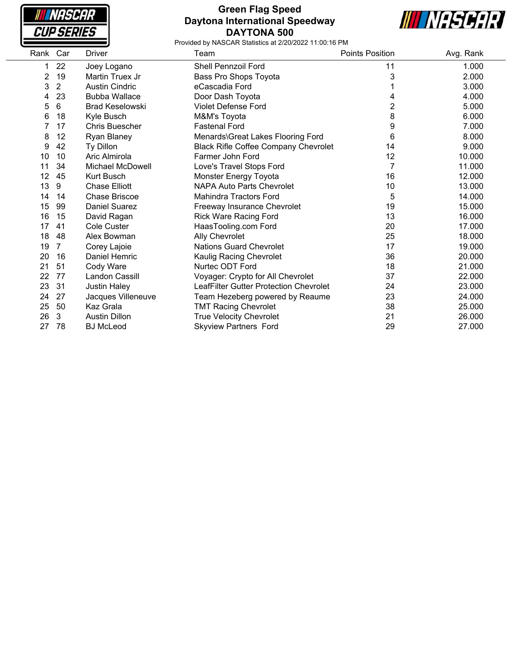

### **Green Flag Speed Daytona International Speedway DAYTONA 500**



| Rank | Car            | <b>Driver</b>          | Team                                        | <b>Points Position</b> | Avg. Rank |
|------|----------------|------------------------|---------------------------------------------|------------------------|-----------|
| 1    | 22             | Joey Logano            | <b>Shell Pennzoil Ford</b>                  | 11                     | 1.000     |
| 2    | 19             | Martin Truex Jr        | Bass Pro Shops Toyota                       | 3                      | 2.000     |
| 3    | $\overline{2}$ | <b>Austin Cindric</b>  | eCascadia Ford                              |                        | 3.000     |
| 4    | 23             | <b>Bubba Wallace</b>   | Door Dash Toyota                            | 4                      | 4.000     |
| 5    | $6\phantom{1}$ | <b>Brad Keselowski</b> | <b>Violet Defense Ford</b>                  | 2                      | 5.000     |
| 6    | 18             | Kyle Busch             | M&M's Toyota                                | 8                      | 6.000     |
|      | 17             | <b>Chris Buescher</b>  | <b>Fastenal Ford</b>                        | 9                      | 7.000     |
| 8    | 12             | Ryan Blaney            | Menards\Great Lakes Flooring Ford           | 6                      | 8.000     |
| 9    | 42             | Ty Dillon              | <b>Black Rifle Coffee Company Chevrolet</b> | 14                     | 9.000     |
| 10   | 10             | Aric Almirola          | Farmer John Ford                            | 12                     | 10.000    |
| 11   | 34             | Michael McDowell       | Love's Travel Stops Ford                    |                        | 11.000    |
| 12   | 45             | <b>Kurt Busch</b>      | Monster Energy Toyota                       | 16                     | 12.000    |
| 13   | 9              | <b>Chase Elliott</b>   | <b>NAPA Auto Parts Chevrolet</b>            | 10                     | 13.000    |
| 14   | 14             | <b>Chase Briscoe</b>   | Mahindra Tractors Ford                      | 5                      | 14.000    |
| 15   | 99             | <b>Daniel Suarez</b>   | Freeway Insurance Chevrolet                 | 19                     | 15.000    |
| 16   | 15             | David Ragan            | <b>Rick Ware Racing Ford</b>                | 13                     | 16.000    |
| 17   | 41             | <b>Cole Custer</b>     | HaasTooling.com Ford                        | 20                     | 17.000    |
| 18   | 48             | Alex Bowman            | Ally Chevrolet                              | 25                     | 18.000    |
| 19   | 7              | Corey Lajoie           | Nations Guard Chevrolet                     | 17                     | 19.000    |
| 20   | 16             | Daniel Hemric          | Kaulig Racing Chevrolet                     | 36                     | 20.000    |
| 21   | 51             | Cody Ware              | Nurtec ODT Ford                             | 18                     | 21.000    |
| 22   | 77             | Landon Cassill         | Voyager: Crypto for All Chevrolet           | 37                     | 22.000    |
| 23   | 31             | <b>Justin Haley</b>    | LeafFilter Gutter Protection Chevrolet      | 24                     | 23.000    |
| 24   | 27             | Jacques Villeneuve     | Team Hezeberg powered by Reaume             | 23                     | 24.000    |
| 25   | 50             | Kaz Grala              | <b>TMT Racing Chevrolet</b>                 | 38                     | 25.000    |
| 26   | 3              | <b>Austin Dillon</b>   | <b>True Velocity Chevrolet</b>              | 21                     | 26.000    |
| 27   | 78             | <b>BJ McLeod</b>       | <b>Skyview Partners Ford</b>                | 29                     | 27.000    |
|      |                |                        |                                             |                        |           |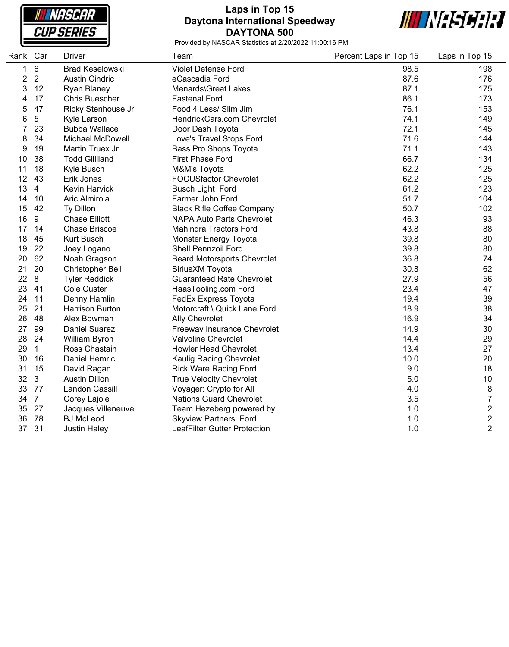**NASCAR CUP SERIES** 

# **Laps in Top 15 Daytona International Speedway DAYTONA 500**



| Rank Car |                | <b>Driver</b>           | Team                                | Percent Laps in Top 15 | Laps in Top 15          |
|----------|----------------|-------------------------|-------------------------------------|------------------------|-------------------------|
| 1        | 6              | <b>Brad Keselowski</b>  | Violet Defense Ford                 | 98.5                   | 198                     |
| 2        | $\overline{2}$ | <b>Austin Cindric</b>   | eCascadia Ford                      | 87.6                   | 176                     |
| 3        | 12             | Ryan Blaney             | Menards\Great Lakes                 | 87.1                   | 175                     |
| 4        | 17             | <b>Chris Buescher</b>   | <b>Fastenal Ford</b>                | 86.1                   | 173                     |
| 5        | 47             | Ricky Stenhouse Jr      | Food 4 Less/ Slim Jim               | 76.1                   | 153                     |
| 6        | 5              | Kyle Larson             | HendrickCars.com Chevrolet          | 74.1                   | 149                     |
|          | 23             | <b>Bubba Wallace</b>    | Door Dash Toyota                    | 72.1                   | 145                     |
| 8        | 34             | <b>Michael McDowell</b> | Love's Travel Stops Ford            | 71.6                   | 144                     |
| 9        | 19             | Martin Truex Jr         | Bass Pro Shops Toyota               | 71.1                   | 143                     |
| 10       | 38             | <b>Todd Gilliland</b>   | <b>First Phase Ford</b>             | 66.7                   | 134                     |
| 11       | 18             | Kyle Busch              | M&M's Toyota                        | 62.2                   | 125                     |
| 12       | 43             | Erik Jones              | <b>FOCUSfactor Chevrolet</b>        | 62.2                   | 125                     |
| 13       | $\overline{4}$ | <b>Kevin Harvick</b>    | Busch Light Ford                    | 61.2                   | 123                     |
| 14       | 10             | Aric Almirola           | Farmer John Ford                    | 51.7                   | 104                     |
| 15       | 42             | Ty Dillon               | <b>Black Rifle Coffee Company</b>   | 50.7                   | 102                     |
| 16       | 9              | <b>Chase Elliott</b>    | <b>NAPA Auto Parts Chevrolet</b>    | 46.3                   | 93                      |
| 17       | 14             | <b>Chase Briscoe</b>    | <b>Mahindra Tractors Ford</b>       | 43.8                   | 88                      |
| 18       | 45             | Kurt Busch              | Monster Energy Toyota               | 39.8                   | 80                      |
| 19       | 22             | Joey Logano             | Shell Pennzoil Ford                 | 39.8                   | 80                      |
| 20       | 62             | Noah Gragson            | <b>Beard Motorsports Chevrolet</b>  | 36.8                   | 74                      |
| 21       | 20             | <b>Christopher Bell</b> | SiriusXM Toyota                     | 30.8                   | 62                      |
| 22       | 8              | <b>Tyler Reddick</b>    | <b>Guaranteed Rate Chevrolet</b>    | 27.9                   | 56                      |
| 23       | 41             | <b>Cole Custer</b>      | HaasTooling.com Ford                | 23.4                   | 47                      |
| 24       | 11             | Denny Hamlin            | FedEx Express Toyota                | 19.4                   | 39                      |
| 25       | 21             | <b>Harrison Burton</b>  | Motorcraft \ Quick Lane Ford        | 18.9                   | 38                      |
| 26       | 48             | Alex Bowman             | <b>Ally Chevrolet</b>               | 16.9                   | 34                      |
| 27       | 99             | <b>Daniel Suarez</b>    | Freeway Insurance Chevrolet         | 14.9                   | 30                      |
| 28       | 24             | William Byron           | Valvoline Chevrolet                 | 14.4                   | 29                      |
| 29       | $\mathbf{1}$   | Ross Chastain           | <b>Howler Head Chevrolet</b>        | 13.4                   | 27                      |
| 30       | 16             | Daniel Hemric           | Kaulig Racing Chevrolet             | 10.0                   | 20                      |
| 31       | 15             | David Ragan             | <b>Rick Ware Racing Ford</b>        | 9.0                    | 18                      |
| 32       | $\mathbf{3}$   | <b>Austin Dillon</b>    | <b>True Velocity Chevrolet</b>      | 5.0                    | 10                      |
| 33       | 77             | Landon Cassill          | Voyager: Crypto for All             | 4.0                    | 8                       |
| 34       | $\overline{7}$ | Corey Lajoie            | <b>Nations Guard Chevrolet</b>      | 3.5                    | 7                       |
| 35       | 27             | Jacques Villeneuve      | Team Hezeberg powered by            | 1.0                    | $\overline{\mathbf{c}}$ |
| 36       | 78             | <b>BJ</b> McLeod        | <b>Skyview Partners Ford</b>        | 1.0                    | $\overline{\mathbf{c}}$ |
| 37       | 31             | <b>Justin Haley</b>     | <b>LeafFilter Gutter Protection</b> | 1.0                    | $\overline{2}$          |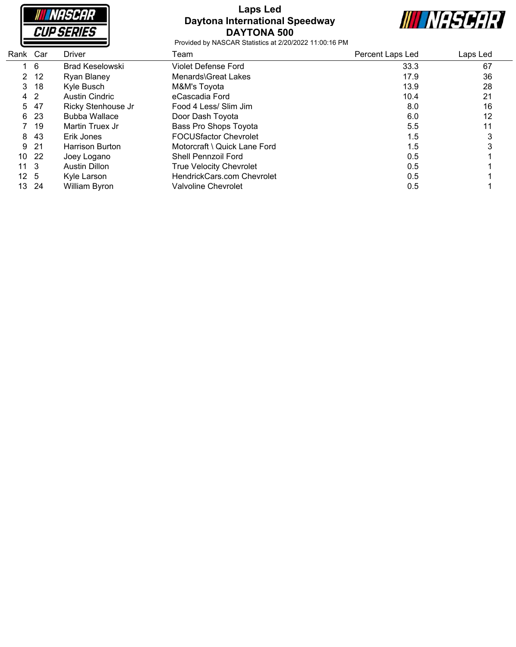

# **Laps Led Daytona International Speedway DAYTONA 500**



| Rank Car     | <b>Driver</b>          | Team                           | Percent Laps Led | Laps Led |  |
|--------------|------------------------|--------------------------------|------------------|----------|--|
| - 6          | <b>Brad Keselowski</b> | Violet Defense Ford            | 33.3             | 67       |  |
| 2 12         | Ryan Blaney            | Menards\Great Lakes            | 17.9             | 36       |  |
| -18          | Kyle Busch             | M&M's Toyota                   | 13.9             | 28       |  |
| 4 2          | <b>Austin Cindric</b>  | eCascadia Ford                 | 10.4             | 21       |  |
| -47          | Ricky Stenhouse Jr     | Food 4 Less/ Slim Jim          | 8.0              | 16       |  |
| -23          | <b>Bubba Wallace</b>   | Door Dash Toyota               | 6.0              | 12       |  |
| 19           | Martin Truex Jr        | Bass Pro Shops Toyota          | 5.5              | 11       |  |
| -43          | Erik Jones             | <b>FOCUSfactor Chevrolet</b>   | 1.5              |          |  |
| -21          | Harrison Burton        | Motorcraft \ Quick Lane Ford   | 1.5              |          |  |
| -22          | Joey Logano            | Shell Pennzoil Ford            | 0.5              |          |  |
| $11 \quad 3$ | Austin Dillon          | <b>True Velocity Chevrolet</b> | 0.5              |          |  |
| $12 \quad 5$ | Kyle Larson            | HendrickCars.com Chevrolet     | 0.5              |          |  |
| -24          | William Byron          | Valvoline Chevrolet            | 0.5              |          |  |
|              |                        |                                |                  |          |  |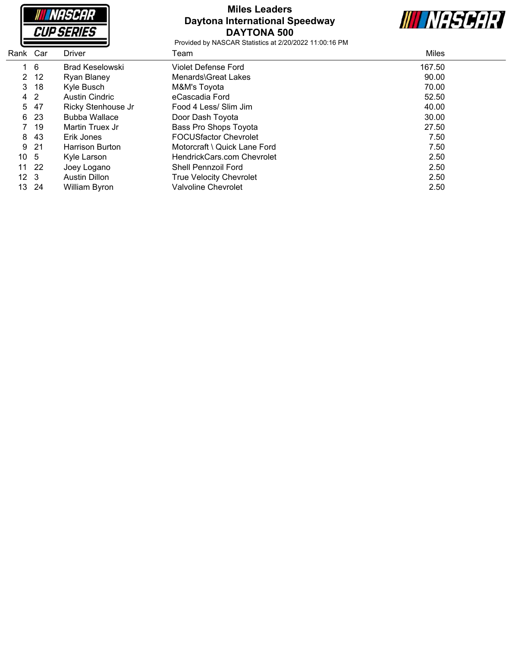

# **Miles Leaders Daytona International Speedway DAYTONA 500**

**III NASCAR** 

| Rank Car        |      | <b>Driver</b>          | Team                           | <b>Miles</b> |
|-----------------|------|------------------------|--------------------------------|--------------|
|                 | - 6  | <b>Brad Keselowski</b> | Violet Defense Ford            | 167.50       |
|                 | 2 12 | Ryan Blaney            | Menards\Great Lakes            | 90.00        |
|                 | 3 18 | Kyle Busch             | M&M's Toyota                   | 70.00        |
| 4               | -2   | <b>Austin Cindric</b>  | eCascadia Ford                 | 52.50        |
|                 | 5 47 | Ricky Stenhouse Jr     | Food 4 Less/ Slim Jim          | 40.00        |
| 6               | -23  | <b>Bubba Wallace</b>   | Door Dash Toyota               | 30.00        |
|                 | -19  | Martin Truex Jr        | Bass Pro Shops Toyota          | 27.50        |
| 8               | 43   | Erik Jones             | <b>FOCUSfactor Chevrolet</b>   | 7.50         |
| 9               | 21   | Harrison Burton        | Motorcraft \ Quick Lane Ford   | 7.50         |
| 10 <sub>5</sub> |      | Kyle Larson            | HendrickCars.com Chevrolet     | 2.50         |
| 11              | -22  | Joey Logano            | <b>Shell Pennzoil Ford</b>     | 2.50         |
| 12 <sub>3</sub> |      | Austin Dillon          | <b>True Velocity Chevrolet</b> | 2.50         |
| 13              | -24  | <b>William Byron</b>   | <b>Valvoline Chevrolet</b>     | 2.50         |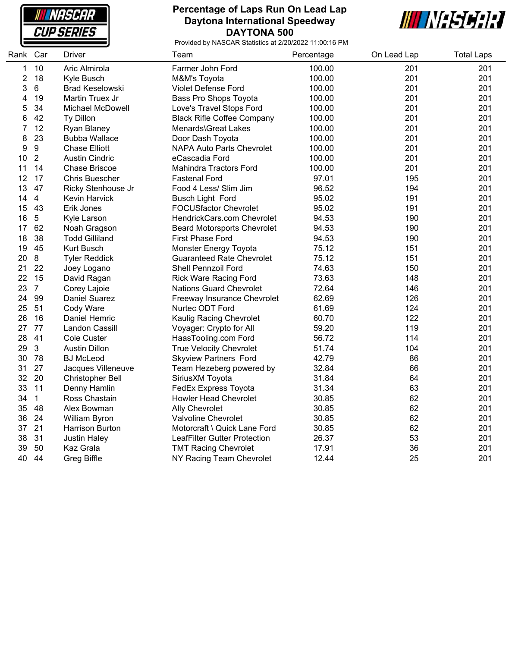

### **Percentage of Laps Run On Lead Lap Daytona International Speedway DAYTONA 500**



| Rank | Car              | Driver                  | Team                               | Percentage | On Lead Lap | <b>Total Laps</b> |
|------|------------------|-------------------------|------------------------------------|------------|-------------|-------------------|
| 1    | 10               | Aric Almirola           | Farmer John Ford                   | 100.00     | 201         | 201               |
| 2    | 18               | Kyle Busch              | M&M's Toyota                       | 100.00     | 201         | 201               |
| 3    | 6                | <b>Brad Keselowski</b>  | Violet Defense Ford                | 100.00     | 201         | 201               |
| 4    | 19               | Martin Truex Jr         | Bass Pro Shops Toyota              | 100.00     | 201         | 201               |
| 5    | 34               | Michael McDowell        | Love's Travel Stops Ford           | 100.00     | 201         | 201               |
| 6    | 42               | Ty Dillon               | <b>Black Rifle Coffee Company</b>  | 100.00     | 201         | 201               |
| 7    | 12               | <b>Ryan Blaney</b>      | Menards\Great Lakes                | 100.00     | 201         | 201               |
| 8    | 23               | <b>Bubba Wallace</b>    | Door Dash Toyota                   | 100.00     | 201         | 201               |
| 9    | $\boldsymbol{9}$ | <b>Chase Elliott</b>    | <b>NAPA Auto Parts Chevrolet</b>   | 100.00     | 201         | 201               |
| 10   | $\overline{2}$   | <b>Austin Cindric</b>   | eCascadia Ford                     | 100.00     | 201         | 201               |
| 11   | 14               | Chase Briscoe           | <b>Mahindra Tractors Ford</b>      | 100.00     | 201         | 201               |
| 12   | 17               | <b>Chris Buescher</b>   | <b>Fastenal Ford</b>               | 97.01      | 195         | 201               |
| 13   | 47               | Ricky Stenhouse Jr      | Food 4 Less/ Slim Jim              | 96.52      | 194         | 201               |
| 14   | $\overline{4}$   | Kevin Harvick           | <b>Busch Light Ford</b>            | 95.02      | 191         | 201               |
| 15   | 43               | Erik Jones              | <b>FOCUSfactor Chevrolet</b>       | 95.02      | 191         | 201               |
| 16   | 5                | Kyle Larson             | HendrickCars.com Chevrolet         | 94.53      | 190         | 201               |
| 17   | 62               | Noah Gragson            | <b>Beard Motorsports Chevrolet</b> | 94.53      | 190         | 201               |
| 18   | 38               | <b>Todd Gilliland</b>   | First Phase Ford                   | 94.53      | 190         | 201               |
| 19   | 45               | <b>Kurt Busch</b>       | Monster Energy Toyota              | 75.12      | 151         | 201               |
| 20   | 8                | <b>Tyler Reddick</b>    | <b>Guaranteed Rate Chevrolet</b>   | 75.12      | 151         | 201               |
| 21   | 22               | Joey Logano             | Shell Pennzoil Ford                | 74.63      | 150         | 201               |
| 22   | 15               | David Ragan             | <b>Rick Ware Racing Ford</b>       | 73.63      | 148         | 201               |
| 23   | $\overline{7}$   | Corey Lajoie            | <b>Nations Guard Chevrolet</b>     | 72.64      | 146         | 201               |
| 24   | 99               | Daniel Suarez           | Freeway Insurance Chevrolet        | 62.69      | 126         | 201               |
| 25   | 51               | Cody Ware               | Nurtec ODT Ford                    | 61.69      | 124         | 201               |
| 26   | 16               | Daniel Hemric           | Kaulig Racing Chevrolet            | 60.70      | 122         | 201               |
| 27   | 77               | Landon Cassill          | Voyager: Crypto for All            | 59.20      | 119         | 201               |
| 28   | 41               | Cole Custer             | HaasTooling.com Ford               | 56.72      | 114         | 201               |
| 29   | $\mathbf{3}$     | <b>Austin Dillon</b>    | <b>True Velocity Chevrolet</b>     | 51.74      | 104         | 201               |
| 30   | 78               | <b>BJ</b> McLeod        | <b>Skyview Partners Ford</b>       | 42.79      | 86          | 201               |
| 31   | 27               | Jacques Villeneuve      | Team Hezeberg powered by           | 32.84      | 66          | 201               |
| 32   | 20               | <b>Christopher Bell</b> | SiriusXM Toyota                    | 31.84      | 64          | 201               |
| 33   | 11               | Denny Hamlin            | FedEx Express Toyota               | 31.34      | 63          | 201               |
| 34   | $\mathbf{1}$     | Ross Chastain           | <b>Howler Head Chevrolet</b>       | 30.85      | 62          | 201               |
| 35   | 48               | Alex Bowman             | <b>Ally Chevrolet</b>              | 30.85      | 62          | 201               |
| 36   | 24               | <b>William Byron</b>    | Valvoline Chevrolet                | 30.85      | 62          | 201               |
| 37   | 21               | Harrison Burton         | Motorcraft \ Quick Lane Ford       | 30.85      | 62          | 201               |
| 38   | 31               | <b>Justin Haley</b>     | LeafFilter Gutter Protection       | 26.37      | 53          | 201               |
| 39   | 50               | Kaz Grala               | <b>TMT Racing Chevrolet</b>        | 17.91      | 36          | 201               |
| 40   | 44               | Greg Biffle             | NY Racing Team Chevrolet           | 12.44      | 25          | 201               |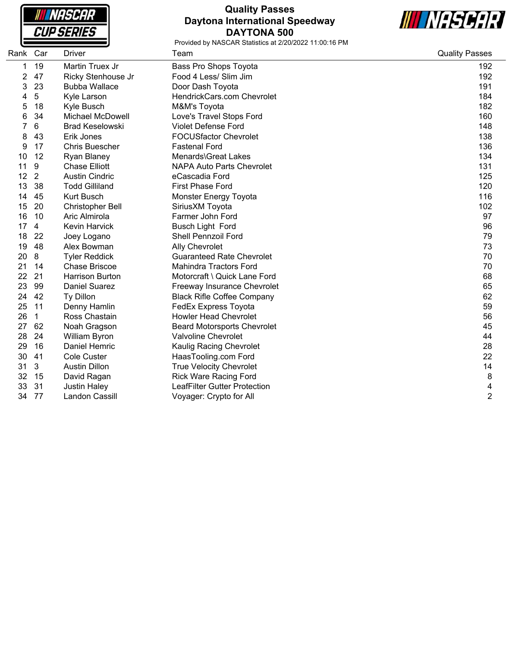**NASCAR CUP SERIES** 

# **Quality Passes Daytona International Speedway DAYTONA 500**



| Rank Car |    | Driver                  | Team                                | <b>Quality Passes</b> |
|----------|----|-------------------------|-------------------------------------|-----------------------|
| 1        | 19 | Martin Truex Jr         | Bass Pro Shops Toyota               | 192                   |
| 2        | 47 | Ricky Stenhouse Jr      | Food 4 Less/ Slim Jim               | 192                   |
| 3        | 23 | <b>Bubba Wallace</b>    | Door Dash Toyota                    | 191                   |
| 4        | 5  | Kyle Larson             | HendrickCars.com Chevrolet          | 184                   |
| 5        | 18 | Kyle Busch              | M&M's Toyota                        | 182                   |
| 6        | 34 | <b>Michael McDowell</b> | Love's Travel Stops Ford            | 160                   |
|          | 6  | <b>Brad Keselowski</b>  | <b>Violet Defense Ford</b>          | 148                   |
| 8        | 43 | Erik Jones              | <b>FOCUSfactor Chevrolet</b>        | 138                   |
| 9        | 17 | <b>Chris Buescher</b>   | <b>Fastenal Ford</b>                | 136                   |
| 10       | 12 | <b>Ryan Blaney</b>      | Menards\Great Lakes                 | 134                   |
| 11       | 9  | <b>Chase Elliott</b>    | <b>NAPA Auto Parts Chevrolet</b>    | 131                   |
| 12       | 2  | <b>Austin Cindric</b>   | eCascadia Ford                      | 125                   |
| 13       | 38 | <b>Todd Gilliland</b>   | <b>First Phase Ford</b>             | 120                   |
| 14       | 45 | <b>Kurt Busch</b>       | Monster Energy Toyota               | 116                   |
| 15       | 20 | Christopher Bell        | SiriusXM Toyota                     | 102                   |
| 16       | 10 | Aric Almirola           | Farmer John Ford                    | 97                    |
| 17       | 4  | <b>Kevin Harvick</b>    | <b>Busch Light Ford</b>             | 96                    |
| 18       | 22 | Joey Logano             | Shell Pennzoil Ford                 | 79                    |
| 19       | 48 | Alex Bowman             | <b>Ally Chevrolet</b>               | 73                    |
| 20       | 8  | <b>Tyler Reddick</b>    | <b>Guaranteed Rate Chevrolet</b>    | 70                    |
| 21       | 14 | <b>Chase Briscoe</b>    | <b>Mahindra Tractors Ford</b>       | 70                    |
| 22       | 21 | <b>Harrison Burton</b>  | Motorcraft \ Quick Lane Ford        | 68                    |
| 23       | 99 | <b>Daniel Suarez</b>    | Freeway Insurance Chevrolet         | 65                    |
| 24       | 42 | Ty Dillon               | <b>Black Rifle Coffee Company</b>   | 62                    |
| 25       | 11 | Denny Hamlin            | <b>FedEx Express Toyota</b>         | 59                    |
| 26       | 1  | Ross Chastain           | <b>Howler Head Chevrolet</b>        | 56                    |
| 27       | 62 | Noah Gragson            | <b>Beard Motorsports Chevrolet</b>  | 45                    |
| 28       | 24 | William Byron           | Valvoline Chevrolet                 | 44                    |
| 29       | 16 | Daniel Hemric           | Kaulig Racing Chevrolet             | 28                    |
| 30       | 41 | <b>Cole Custer</b>      | HaasTooling.com Ford                | 22                    |
| 31       | 3  | <b>Austin Dillon</b>    | <b>True Velocity Chevrolet</b>      | 14                    |
| 32       | 15 | David Ragan             | <b>Rick Ware Racing Ford</b>        | 8                     |
| 33       | 31 | <b>Justin Haley</b>     | <b>LeafFilter Gutter Protection</b> | 4                     |
| 34       | 77 | Landon Cassill          | Voyager: Crypto for All             | $\overline{2}$        |